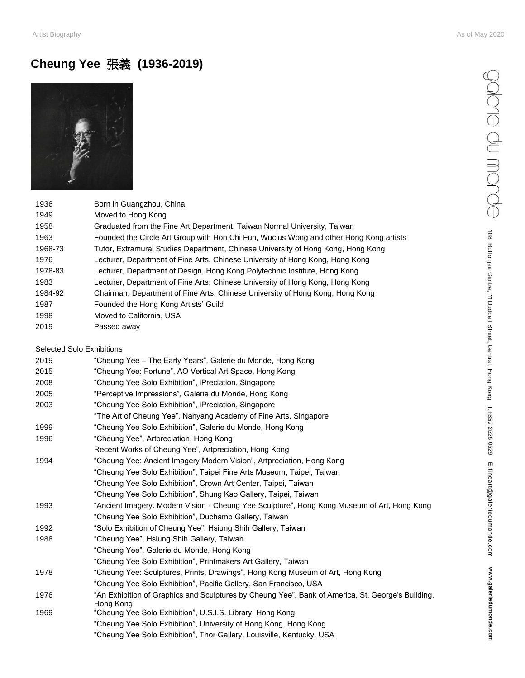## Artist Biography As of May 2020

## **Cheung Yee** 張義 **(1936-2019)**



| 1936    | Born in Guangzhou, China                                                               |
|---------|----------------------------------------------------------------------------------------|
| 1949    | Moved to Hong Kong                                                                     |
| 1958    | Graduated from the Fine Art Department, Taiwan Normal University, Taiwan               |
| 1963    | Founded the Circle Art Group with Hon Chi Fun, Wucius Wong and other Hong Kong artists |
| 1968-73 | Tutor, Extramural Studies Department, Chinese University of Hong Kong, Hong Kong       |
| 1976    | Lecturer, Department of Fine Arts, Chinese University of Hong Kong, Hong Kong          |
| 1978-83 | Lecturer, Department of Design, Hong Kong Polytechnic Institute, Hong Kong             |
| 1983    | Lecturer, Department of Fine Arts, Chinese University of Hong Kong, Hong Kong          |
| 1984-92 | Chairman, Department of Fine Arts, Chinese University of Hong Kong, Hong Kong          |
| 1987    | Founded the Hong Kong Artists' Guild                                                   |
| 1998    | Moved to California, USA                                                               |
| 2019    | Passed away                                                                            |
|         |                                                                                        |

| <b>Selected Solo Exhibitions</b> |                                                                                                                |  |
|----------------------------------|----------------------------------------------------------------------------------------------------------------|--|
| 2019                             | "Cheung Yee - The Early Years", Galerie du Monde, Hong Kong                                                    |  |
| 2015                             | "Cheung Yee: Fortune", AO Vertical Art Space, Hong Kong                                                        |  |
| 2008                             | "Cheung Yee Solo Exhibition", iPreciation, Singapore                                                           |  |
| 2005                             | "Perceptive Impressions", Galerie du Monde, Hong Kong                                                          |  |
| 2003                             | "Cheung Yee Solo Exhibition", iPreciation, Singapore                                                           |  |
|                                  | "The Art of Cheung Yee", Nanyang Academy of Fine Arts, Singapore                                               |  |
| 1999                             | "Cheung Yee Solo Exhibition", Galerie du Monde, Hong Kong                                                      |  |
| 1996                             | "Cheung Yee", Artpreciation, Hong Kong                                                                         |  |
|                                  | Recent Works of Cheung Yee", Artpreciation, Hong Kong                                                          |  |
| 1994                             | "Cheung Yee: Ancient Imagery Modern Vision", Artpreciation, Hong Kong                                          |  |
|                                  | "Cheung Yee Solo Exhibition", Taipei Fine Arts Museum, Taipei, Taiwan                                          |  |
|                                  | "Cheung Yee Solo Exhibition", Crown Art Center, Taipei, Taiwan                                                 |  |
|                                  | "Cheung Yee Solo Exhibition", Shung Kao Gallery, Taipei, Taiwan                                                |  |
| 1993                             | "Ancient Imagery. Modern Vision - Cheung Yee Sculpture", Hong Kong Museum of Art, Hong Kong                    |  |
|                                  | "Cheung Yee Solo Exhibition", Duchamp Gallery, Taiwan                                                          |  |
| 1992                             | "Solo Exhibition of Cheung Yee", Hsiung Shih Gallery, Taiwan                                                   |  |
| 1988                             | "Cheung Yee", Hsiung Shih Gallery, Taiwan                                                                      |  |
|                                  | "Cheung Yee", Galerie du Monde, Hong Kong                                                                      |  |
|                                  | "Cheung Yee Solo Exhibition", Printmakers Art Gallery, Taiwan                                                  |  |
| 1978                             | "Cheung Yee: Sculptures, Prints, Drawings", Hong Kong Museum of Art, Hong Kong                                 |  |
|                                  | "Cheung Yee Solo Exhibition", Pacific Gallery, San Francisco, USA                                              |  |
| 1976                             | "An Exhibition of Graphics and Sculptures by Cheung Yee", Bank of America, St. George's Building,<br>Hong Kong |  |
| 1969                             | "Cheung Yee Solo Exhibition", U.S.I.S. Library, Hong Kong                                                      |  |
|                                  | "Cheung Yee Solo Exhibition", University of Hong Kong, Hong Kong                                               |  |
|                                  | "Cheung Yee Solo Exhibition", Thor Gallery, Louisville, Kentucky, USA                                          |  |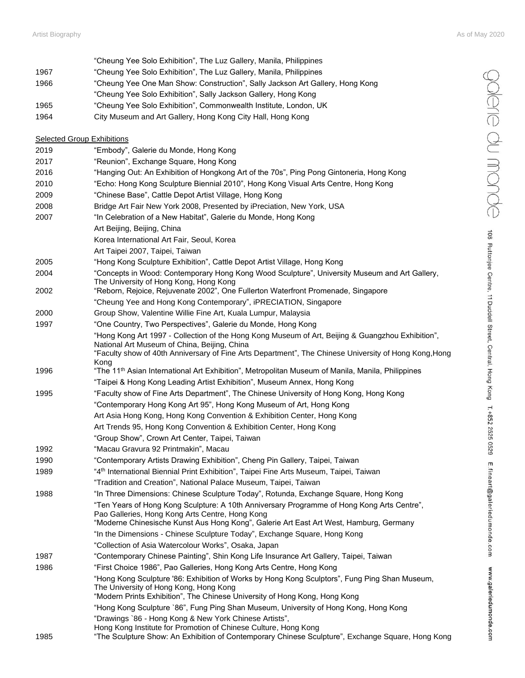|      | "Cheung Yee Solo Exhibition", The Luz Gallery, Manila, Philippines                                                                                                                                                                                                 |
|------|--------------------------------------------------------------------------------------------------------------------------------------------------------------------------------------------------------------------------------------------------------------------|
| 1967 | "Cheung Yee Solo Exhibition", The Luz Gallery, Manila, Philippines                                                                                                                                                                                                 |
| 1966 | "Cheung Yee One Man Show: Construction", Sally Jackson Art Gallery, Hong Kong                                                                                                                                                                                      |
|      | "Cheung Yee Solo Exhibition", Sally Jackson Gallery, Hong Kong                                                                                                                                                                                                     |
| 1965 | "Cheung Yee Solo Exhibition", Commonwealth Institute, London, UK                                                                                                                                                                                                   |
| 1964 | City Museum and Art Gallery, Hong Kong City Hall, Hong Kong                                                                                                                                                                                                        |
|      | <b>Selected Group Exhibitions</b>                                                                                                                                                                                                                                  |
| 2019 | "Embody", Galerie du Monde, Hong Kong                                                                                                                                                                                                                              |
| 2017 | "Reunion", Exchange Square, Hong Kong                                                                                                                                                                                                                              |
| 2016 | "Hanging Out: An Exhibition of Hongkong Art of the 70s", Ping Pong Gintoneria, Hong Kong                                                                                                                                                                           |
| 2010 | "Echo: Hong Kong Sculpture Biennial 2010", Hong Kong Visual Arts Centre, Hong Kong                                                                                                                                                                                 |
| 2009 | "Chinese Base", Cattle Depot Artist Village, Hong Kong                                                                                                                                                                                                             |
| 2008 | Bridge Art Fair New York 2008, Presented by iPreciation, New York, USA                                                                                                                                                                                             |
| 2007 | "In Celebration of a New Habitat", Galerie du Monde, Hong Kong                                                                                                                                                                                                     |
|      | Art Beijing, Beijing, China                                                                                                                                                                                                                                        |
|      | Korea International Art Fair, Seoul, Korea                                                                                                                                                                                                                         |
|      | Art Taipei 2007, Taipei, Taiwan                                                                                                                                                                                                                                    |
| 2005 | "Hong Kong Sculpture Exhibition", Cattle Depot Artist Village, Hong Kong                                                                                                                                                                                           |
| 2004 | "Concepts in Wood: Contemporary Hong Kong Wood Sculpture", University Museum and Art Gallery,<br>The University of Hong Kong, Hong Kong                                                                                                                            |
| 2002 | "Reborn, Rejoice, Rejuvenate 2002", One Fullerton Waterfront Promenade, Singapore                                                                                                                                                                                  |
|      | "Cheung Yee and Hong Kong Contemporary", iPRECIATION, Singapore                                                                                                                                                                                                    |
| 2000 | Group Show, Valentine Willie Fine Art, Kuala Lumpur, Malaysia                                                                                                                                                                                                      |
| 1997 | "One Country, Two Perspectives", Galerie du Monde, Hong Kong                                                                                                                                                                                                       |
|      | "Hong Kong Art 1997 - Collection of the Hong Kong Museum of Art, Beijing & Guangzhou Exhibition",<br>National Art Museum of China, Beijing, China<br>"Faculty show of 40th Anniversary of Fine Arts Department", The Chinese University of Hong Kong, Hong<br>Kong |
| 1996 | "The 11 <sup>th</sup> Asian International Art Exhibition", Metropolitan Museum of Manila, Manila, Philippines                                                                                                                                                      |
|      | "Taipei & Hong Kong Leading Artist Exhibition", Museum Annex, Hong Kong                                                                                                                                                                                            |
| 1995 | "Faculty show of Fine Arts Department", The Chinese University of Hong Kong, Hong Kong                                                                                                                                                                             |
|      | "Contemporary Hong Kong Art 95", Hong Kong Museum of Art, Hong Kong                                                                                                                                                                                                |
|      | Art Asia Hong Kong, Hong Kong Convention & Exhibition Center, Hong Kong                                                                                                                                                                                            |
|      | Art Trends 95, Hong Kong Convention & Exhibition Center, Hong Kong                                                                                                                                                                                                 |
|      | "Group Show", Crown Art Center, Taipei, Taiwan                                                                                                                                                                                                                     |
| 1992 | "Macau Gravura 92 Printmakin", Macau                                                                                                                                                                                                                               |
| 1990 | "Contemporary Artists Drawing Exhibition", Cheng Pin Gallery, Taipei, Taiwan                                                                                                                                                                                       |
| 1989 | "4 <sup>th</sup> International Biennial Print Exhibition", Taipei Fine Arts Museum, Taipei, Taiwan                                                                                                                                                                 |
|      | "Tradition and Creation", National Palace Museum, Taipei, Taiwan                                                                                                                                                                                                   |
| 1988 | "In Three Dimensions: Chinese Sculpture Today", Rotunda, Exchange Square, Hong Kong                                                                                                                                                                                |
|      | "Ten Years of Hong Kong Sculpture: A 10th Anniversary Programme of Hong Kong Arts Centre",<br>Pao Galleries, Hong Kong Arts Centre, Hong Kong<br>"Moderne Chinesische Kunst Aus Hong Kong", Galerie Art East Art West, Hamburg, Germany                            |
|      | "In the Dimensions - Chinese Sculpture Today", Exchange Square, Hong Kong                                                                                                                                                                                          |
|      | "Collection of Asia Watercolour Works", Osaka, Japan                                                                                                                                                                                                               |
| 1987 | "Contemporary Chinese Painting", Shin Kong Life Insurance Art Gallery, Taipei, Taiwan                                                                                                                                                                              |
| 1986 | "First Choice 1986", Pao Galleries, Hong Kong Arts Centre, Hong Kong                                                                                                                                                                                               |
|      | "Hong Kong Sculpture '86: Exhibition of Works by Hong Kong Sculptors", Fung Ping Shan Museum,                                                                                                                                                                      |
|      | The University of Hong Kong, Hong Kong<br>"Modern Prints Exhibition", The Chinese University of Hong Kong, Hong Kong                                                                                                                                               |
|      | "Hong Kong Sculpture `86", Fung Ping Shan Museum, University of Hong Kong, Hong Kong                                                                                                                                                                               |
| 1985 | "Drawings `86 - Hong Kong & New York Chinese Artists",<br>Hong Kong Institute for Promotion of Chinese Culture, Hong Kong<br>"The Sculpture Show: An Exhibition of Contemporary Chinese Sculpture", Exchange Square, Hong Kong                                     |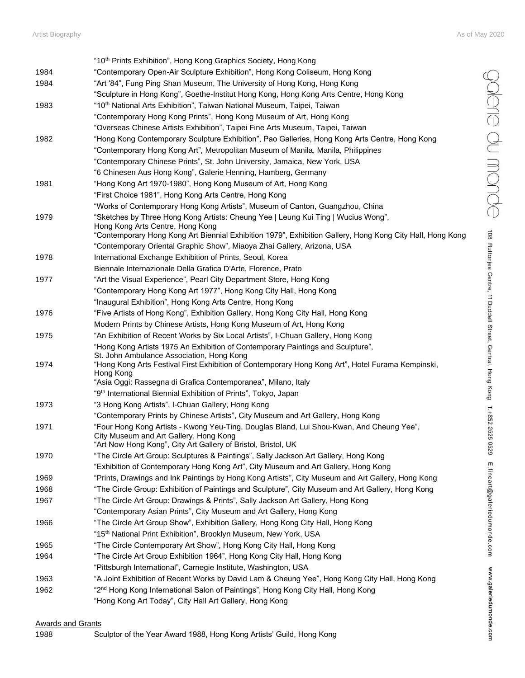|      | "10 <sup>th</sup> Prints Exhibition", Hong Kong Graphics Society, Hong Kong                                           |
|------|-----------------------------------------------------------------------------------------------------------------------|
| 1984 | "Contemporary Open-Air Sculpture Exhibition", Hong Kong Coliseum, Hong Kong                                           |
| 1984 | "Art '84", Fung Ping Shan Museum, The University of Hong Kong, Hong Kong                                              |
|      | "Sculpture in Hong Kong", Goethe-Institut Hong Kong, Hong Kong Arts Centre, Hong Kong                                 |
| 1983 | "10 <sup>th</sup> National Arts Exhibition", Taiwan National Museum, Taipei, Taiwan                                   |
|      | "Contemporary Hong Kong Prints", Hong Kong Museum of Art, Hong Kong                                                   |
|      | "Overseas Chinese Artists Exhibition", Taipei Fine Arts Museum, Taipei, Taiwan                                        |
| 1982 | "Hong Kong Contemporary Sculpture Exhibition", Pao Galleries, Hong Kong Arts Centre, Hong Kong                        |
|      | "Contemporary Hong Kong Art", Metropolitan Museum of Manila, Manila, Philippines                                      |
|      | "Contemporary Chinese Prints", St. John University, Jamaica, New York, USA                                            |
|      | "6 Chinesen Aus Hong Kong", Galerie Henning, Hamberg, Germany                                                         |
| 1981 | "Hong Kong Art 1970-1980", Hong Kong Museum of Art, Hong Kong                                                         |
|      | "First Choice 1981", Hong Kong Arts Centre, Hong Kong                                                                 |
|      |                                                                                                                       |
| 1979 | "Works of Contemporary Hong Kong Artists", Museum of Canton, Guangzhou, China                                         |
|      | "Sketches by Three Hong Kong Artists: Cheung Yee   Leung Kui Ting   Wucius Wong",<br>Hong Kong Arts Centre, Hong Kong |
|      | "Contemporary Hong Kong Art Biennial Exhibition 1979", Exhibition Gallery, Hong Kong City Hall, Hong Kong             |
|      | "Contemporary Oriental Graphic Show", Miaoya Zhai Gallery, Arizona, USA                                               |
| 1978 | International Exchange Exhibition of Prints, Seoul, Korea                                                             |
|      | Biennale Internazionale Della Grafica D'Arte, Florence, Prato                                                         |
| 1977 | "Art the Visual Experience", Pearl City Department Store, Hong Kong                                                   |
|      | "Contemporary Hong Kong Art 1977", Hong Kong City Hall, Hong Kong                                                     |
|      | "Inaugural Exhibition", Hong Kong Arts Centre, Hong Kong                                                              |
| 1976 | "Five Artists of Hong Kong", Exhibition Gallery, Hong Kong City Hall, Hong Kong                                       |
|      | Modern Prints by Chinese Artists, Hong Kong Museum of Art, Hong Kong                                                  |
| 1975 | "An Exhibition of Recent Works by Six Local Artists", I-Chuan Gallery, Hong Kong                                      |
|      | "Hong Kong Artists 1975 An Exhibition of Contemporary Paintings and Sculpture",                                       |
|      | St. John Ambulance Association, Hong Kong                                                                             |
| 1974 | "Hong Kong Arts Festival First Exhibition of Contemporary Hong Kong Art", Hotel Furama Kempinski,<br>Hong Kong        |
|      | "Asia Oggi: Rassegna di Grafica Contemporanea", Milano, Italy                                                         |
|      | "9 <sup>th</sup> International Biennial Exhibition of Prints", Tokyo, Japan                                           |
| 1973 | "3 Hong Kong Artists", I-Chuan Gallery, Hong Kong                                                                     |
|      | "Contemporary Prints by Chinese Artists", City Museum and Art Gallery, Hong Kong                                      |
| 1971 | "Four Hong Kong Artists - Kwong Yeu-Ting, Douglas Bland, Lui Shou-Kwan, And Cheung Yee",                              |
|      | City Museum and Art Gallery, Hong Kong                                                                                |
|      | "Art Now Hong Kong", City Art Gallery of Bristol, Bristol, UK                                                         |
| 1970 | "The Circle Art Group: Sculptures & Paintings", Sally Jackson Art Gallery, Hong Kong                                  |
|      | "Exhibition of Contemporary Hong Kong Art", City Museum and Art Gallery, Hong Kong                                    |
| 1969 | "Prints, Drawings and Ink Paintings by Hong Kong Artists", City Museum and Art Gallery, Hong Kong                     |
| 1968 | "The Circle Group: Exhibition of Paintings and Sculpture", City Museum and Art Gallery, Hong Kong                     |
| 1967 | "The Circle Art Group: Drawings & Prints", Sally Jackson Art Gallery, Hong Kong                                       |
|      | "Contemporary Asian Prints", City Museum and Art Gallery, Hong Kong                                                   |
| 1966 | "The Circle Art Group Show", Exhibition Gallery, Hong Kong City Hall, Hong Kong                                       |
|      | "15th National Print Exhibition", Brooklyn Museum, New York, USA                                                      |
| 1965 | "The Circle Contemporary Art Show", Hong Kong City Hall, Hong Kong                                                    |
| 1964 | "The Circle Art Group Exhibition 1964", Hong Kong City Hall, Hong Kong                                                |
|      | "Pittsburgh International", Carnegie Institute, Washington, USA                                                       |
| 1963 | "A Joint Exhibition of Recent Works by David Lam & Cheung Yee", Hong Kong City Hall, Hong Kong                        |
| 1962 | "2 <sup>nd</sup> Hong Kong International Salon of Paintings", Hong Kong City Hall, Hong Kong                          |
|      | "Hong Kong Art Today", City Hall Art Gallery, Hong Kong                                                               |

## Awards and Grants

1988 Sculptor of the Year Award 1988, Hong Kong Artists' Guild, Hong Kong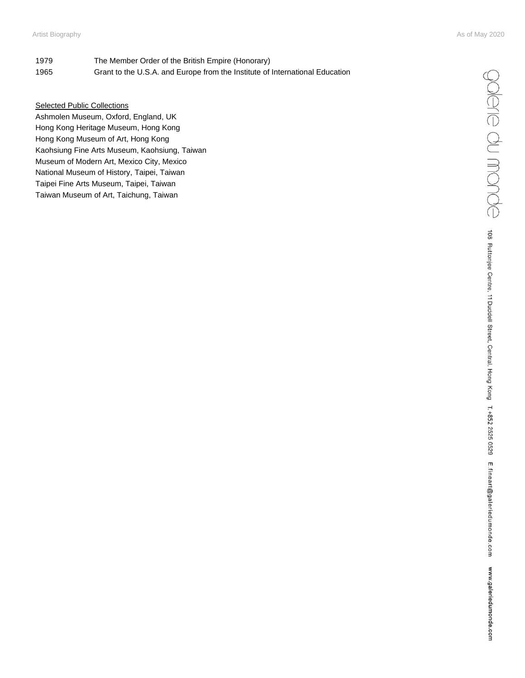- 1979 The Member Order of the British Empire (Honorary) 1965 Grant to the U.S.A. and Europe from the Institute of International Education
- Selected Public Collections

Ashmolen Museum, Oxford, England, UK Hong Kong Heritage Museum, Hong Kong Hong Kong Museum of Art, Hong Kong Kaohsiung Fine Arts Museum, Kaohsiung, Taiwan Museum of Modern Art, Mexico City, Mexico National Museum of History, Taipei, Taiwan Taipei Fine Arts Museum, Taipei, Taiwan Taiwan Museum of Art, Taichung, Taiwan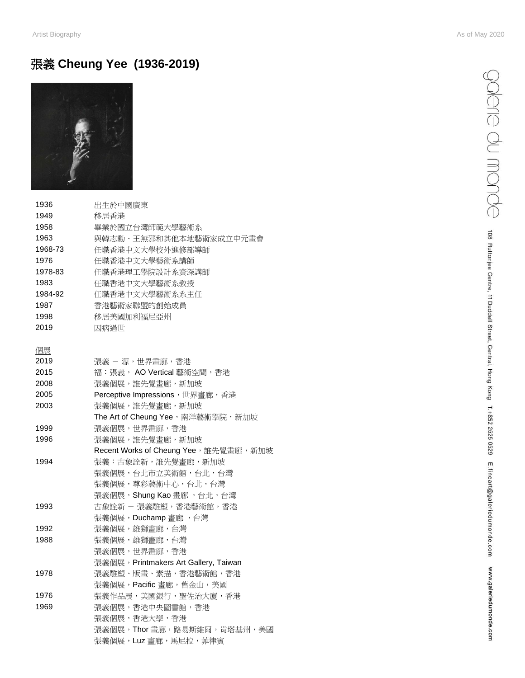## 張義 **Cheung Yee (1936-2019)**



| 1936    | 出生於中國廣東                                          |
|---------|--------------------------------------------------|
| 1949    | 移居香港                                             |
| 1958    | 畢業於國立台灣師範大學藝術系                                   |
| 1963    | 與韓志勳、王無邪和其他本地藝術家成立中元畫會                           |
| 1968-73 | 任職香港中文大學校外進修部導師                                  |
| 1976    | 任職香港中文大學藝術系講師                                    |
| 1978-83 | 任職香港理工學院設計系資深講師                                  |
| 1983    | 任職香港中文大學藝術系教授                                    |
| 1984-92 | 任職香港中文大學藝術系系主任                                   |
| 1987    | 香港藝術家聯盟的創始成員                                     |
| 1998    | 移居美國加利福尼亞州                                       |
| 2019    | 因病過世                                             |
| 個展      |                                                  |
| 2019    | 張義 - 源,世界畫廊,香港                                   |
| 2015    | 福:張義, AO Vertical 藝術空間, 香港                       |
| 2008    | 張義個展,誰先覺畫廊,新加坡                                   |
| 2005    | Perceptive Impressions,世界畫廊,香港                   |
| 2003    | 張義個展,誰先覺畫廊,新加坡                                   |
|         | The Art of Cheung Yee, 南洋藝術學院, 新加坡               |
| 1999    | 張義個展,世界畫廊,香港                                     |
| 1996    | 張義個展,誰先覺畫廊,新加坡                                   |
|         | Recent Works of Cheung Yee, 誰先覺畫廊, 新加坡           |
| 1994    | 張義:古象詮新,誰先覺畫廊,新加坡                                |
|         | 張義個展,台北市立美術館,台北,台灣                               |
|         | 張義個展,尊彩藝術中心,台北,台灣                                |
|         | 張義個展, Shung Kao畫廊, 台北, 台灣                        |
| 1993    | 古象詮新 - 張義雕塑, 香港藝術館, 香港                           |
|         | 張義個展, Duchamp畫廊, 台灣                              |
| 1992    | 張義個展,雄獅畫廊,台灣                                     |
| 1988    | 張義個展,雄獅畫廊,台灣                                     |
|         | 張義個展,世界畫廊,香港                                     |
| 1978    | 張義個展, Printmakers Art Gallery, Taiwan            |
|         | 張義雕塑、版畫、素描,香港藝術館,香港<br>張義個展, Pacific 畫廊, 舊金山, 美國 |
| 1976    | 張義作品展,美國銀行,聖佐治大廈,香港                              |
| 1969    | 張義個展,香港中央圖書館,香港                                  |
|         | 張義個展,香港大學,香港                                     |
|         | 張義個展, Thor 畫廊, 路易斯維爾, 肯塔基州, 美國                   |
|         | 張義個展, Luz 畫廊, 馬尼拉, 菲律賓                           |
|         |                                                  |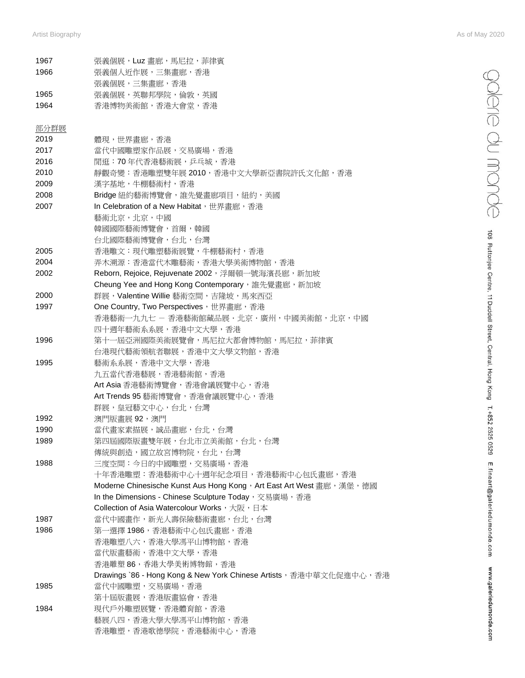$\bigcirc$   $\bigcirc$   $\bigcirc$   $\bigcirc$   $\bigcirc$   $\bigcirc$   $\bigcirc$   $\bigcirc$   $\bigcirc$   $\bigcirc$  as Ruttonjee Centre, 11 Duddell Street, Central, Hong Kong T.+852 2525 0529 E.fineart@galeriedumonde.com WW.galeriedumonde.com

| 1967<br>1966 | 張義個展,Luz 畫廊,馬尼拉,菲律賓<br>張義個人近作展,三集畫廊,香港                                |
|--------------|-----------------------------------------------------------------------|
|              | 張義個展,三集畫廊,香港                                                          |
| 1965         | 張義個展,英聯邦學院,倫敦,英國                                                      |
| 1964         | 香港博物美術館,香港大會堂,香港                                                      |
| 部分群展         |                                                                       |
| 2019         | 體現,世界畫廊,香港                                                            |
| 2017         | 當代中國雕塑家作品展,交易廣場,香港                                                    |
| 2016         | 閒逛:70年代香港藝術展,乒乓城,香港                                                   |
| 2010         | 靜觀奇變:香港雕塑雙年展 2010,香港中文大學新亞書院許氏文化館,香港                                  |
| 2009         | 漢字基地,牛棚藝術村,香港                                                         |
| 2008         | Bridge 紐約藝術博覽會,誰先覺畫廊項目,紐約,美國                                          |
| 2007         | In Celebration of a New Habitat, 世界畫廊, 香港                             |
|              | 藝術北京,北京,中國                                                            |
|              | 韓國國際藝術博覽會,首爾,韓國                                                       |
|              | 台北國際藝術博覽會,台北,台灣                                                       |
| 2005         | 香港雕文:現代雕塑藝術展覽,牛棚藝術村,香港                                                |
| 2004         | 弄木溯源:香港當代木雕藝術,香港大學美術博物館,香港                                            |
| 2002         | Reborn, Rejoice, Rejuvenate 2002, 浮爾頓一號海濱長廊, 新加坡                      |
|              | Cheung Yee and Hong Kong Contemporary, 誰先覺畫廊, 新加坡                     |
| 2000         | 群展, Valentine Willie 藝術空間, 吉隆坡, 馬來西亞                                  |
| 1997         | One Country, Two Perspectives, 世界畫廊, 香港                               |
|              | 香港藝術一九九七 - 香港藝術館藏品展・北京・廣州,中國美術館,北京,中國                                 |
|              |                                                                       |
|              | 四十週年藝術系系展,香港中文大學,香港                                                   |
| 1996         | 第十一屆亞洲國際美術展覽會,馬尼拉大都會博物館,馬尼拉,菲律賓                                       |
|              | 台港現代藝術領航者聯展,香港中文大學文物館,香港                                              |
| 1995         | 藝術系系展,香港中文大學,香港                                                       |
|              | 九五當代香港藝展,香港藝術館,香港                                                     |
|              | Art Asia 香港藝術博覽會,香港會議展覽中心,香港                                          |
|              | Art Trends 95 藝術博覽會, 香港會議展覽中心, 香港                                     |
|              | 群展, 皇冠藝文中心, 台北, 台灣                                                    |
| 1992         | 澳門版畫展 92,澳門                                                           |
| 1990         | 當代畫家素描展,誠品畫廊,台北,台灣                                                    |
| 1989         | 第四屆國際版畫雙年展,台北市立美術館,台北,台灣                                              |
|              | 傳統與創造,國立故宮博物院,台北,台灣                                                   |
| 1988         | 三度空間:今日的中國雕塑,交易廣場,香港                                                  |
|              | 十年香港雕塑:香港藝術中心十週年紀念項目,香港藝術中心包氏畫廊,香港                                    |
|              | Moderne Chinesische Kunst Aus Hong Kong, Art East Art West 畫廊, 漢堡, 德國 |
|              | In the Dimensions - Chinese Sculpture Today, 交易廣場, 香港                 |
|              | Collection of Asia Watercolour Works, 大阪, 日本                          |
| 1987         | 當代中國畫作,新光人壽保險藝術畫廊,台北,台灣                                               |
| 1986         | 第一選擇 1986,香港藝術中心包氏畫廊,香港                                               |
|              | 香港雕塑八六,香港大學馮平山博物館,香港                                                  |
|              | 當代版畫藝術,香港中文大學,香港                                                      |
|              | 香港雕塑 86,香港大學美術博物館,香港                                                  |
|              | Drawings `86 - Hong Kong & New York Chinese Artists,香港中華文化促進中心,香港     |
| 1985         | 當代中國雕塑, 交易廣場, 香港                                                      |
|              | 第十屆版畫展,香港版畫協會,香港                                                      |
| 1984         | 現代戶外雕塑展覽,香港體育館,香港                                                     |
|              | 藝展八四,香港大學大學馮平山博物館,香港                                                  |
|              | 香港雕塑,香港歌德學院,香港藝術中心,香港                                                 |
|              |                                                                       |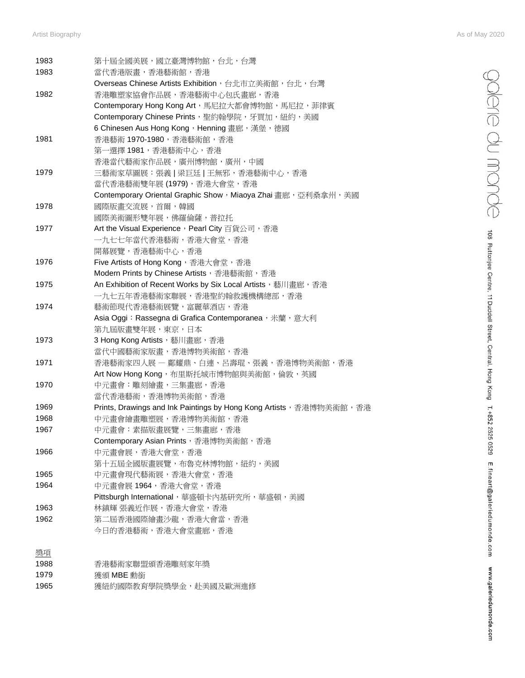| 1983 | 第十屆全國美展,國立臺灣博物館,台北,台灣                                                |
|------|----------------------------------------------------------------------|
| 1983 | 當代香港版畫,香港藝術館,香港                                                      |
|      | Overseas Chinese Artists Exhibition, 台北市立美術館, 台北, 台灣                 |
| 1982 | 香港雕塑家協會作品展,香港藝術中心包氏畫廊,香港                                             |
|      | Contemporary Hong Kong Art, 馬尼拉大都會博物館, 馬尼拉, 菲律賓                      |
|      | Contemporary Chinese Prints, 聖約翰學院, 牙買加, 紐約, 美國                      |
|      | 6 Chinesen Aus Hong Kong, Henning 畫廊,漢堡,德國                           |
| 1981 | 香港藝術 1970-1980, 香港藝術館, 香港                                            |
|      |                                                                      |
|      | 第一選擇1981,香港藝術中心,香港                                                   |
|      | 香港當代藝術家作品展,廣州博物館,廣州,中國                                               |
| 1979 | 三藝術家草圖展:張義   梁巨廷   王無邪,香港藝術中心,香港                                     |
|      | 當代香港藝術雙年展 (1979), 香港大會堂, 香港                                          |
|      | Contemporary Oriental Graphic Show, Miaoya Zhai 畫廊, 亞利桑拿州, 美國        |
| 1978 | 國際版畫交流展,首爾,韓國                                                        |
|      | 國際美術圖形雙年展,佛羅倫薩,普拉托                                                   |
| 1977 | Art the Visual Experience, Pearl City 百貨公司, 香港                       |
|      | 一九七七年當代香港藝術,香港大會堂,香港                                                 |
|      | 開幕展覽,香港藝術中心,香港                                                       |
| 1976 | Five Artists of Hong Kong, 香港大會堂, 香港                                 |
|      | Modern Prints by Chinese Artists, 香港藝術館, 香港                          |
| 1975 | An Exhibition of Recent Works by Six Local Artists, 藝川畫廊, 香港         |
|      | 一九七五年香港藝術家聯展,香港聖約翰救護機構總部,香港                                          |
| 1974 | 藝術節現代香港藝術展覽,富麗華酒店,香港                                                 |
|      | Asia Oggi: Rassegna di Grafica Contemporanea, 米蘭, 意大利                |
|      | 第九屆版畫雙年展,東京,日本                                                       |
| 1973 |                                                                      |
|      | 3 Hong Kong Artists, 藝川畫廊, 香港                                        |
|      | 當代中國藝術家版畫,香港博物美術館,香港                                                 |
| 1971 | 香港藝術家四人展 ― 鄺耀鼎、白連、呂壽琨、張義,香港博物美術館,香港                                  |
|      | Art Now Hong Kong, 布里斯托城市博物館與美術館, 倫敦, 英國                             |
| 1970 | 中元畫會:雕刻繪畫,三集畫廊,香港                                                    |
|      | 當代香港藝術,香港博物美術館,香港                                                    |
| 1969 | Prints, Drawings and Ink Paintings by Hong Kong Artists, 香港博物美術館, 香港 |
| 1968 | 中元畫會繪畫雕塑展,香港博物美術館,香港                                                 |
| 1967 | 中元畫會:素描版畫展覽,三集畫廊,香港                                                  |
|      | Contemporary Asian Prints, 香港博物美術館, 香港                               |
| 1966 | 中元畫會展,香港大會堂,香港                                                       |
|      | 第十五屆全國版畫展覽,布魯克林博物館,紐約,美國                                             |
| 1965 | 中元畫會現代藝術展,香港大會堂,香港                                                   |
| 1964 | 中元畫會展1964,香港大會堂,香港                                                   |
|      | Pittsburgh International, 華盛頓卡內基研究所, 華盛頓, 美國                         |
| 1963 | 林鎮輝 張義近作展,香港大會堂,香港                                                   |
| 1962 | 第二屆香港國際繪畫沙龍,香港大會當,香港                                                 |
|      | 今日的香港藝術,香港大會堂畫廊,香港                                                   |
|      |                                                                      |
|      |                                                                      |
| 獎項   |                                                                      |
| 1988 | 香港藝術家聯盟頒香港雕刻家年獎                                                      |
| 1979 | 獲頒 MBE 勳銜                                                            |
| 1965 | 獲紐約國際教育學院獎學金,赴美國及歐洲進修                                                |

edom du monde 108 Ruttonjee Centre, 11 Duddell Street, Central, Hong Kong T.+852 2525 0529 E.fineart@galeriedumonde.com www.galeriedumonde.com